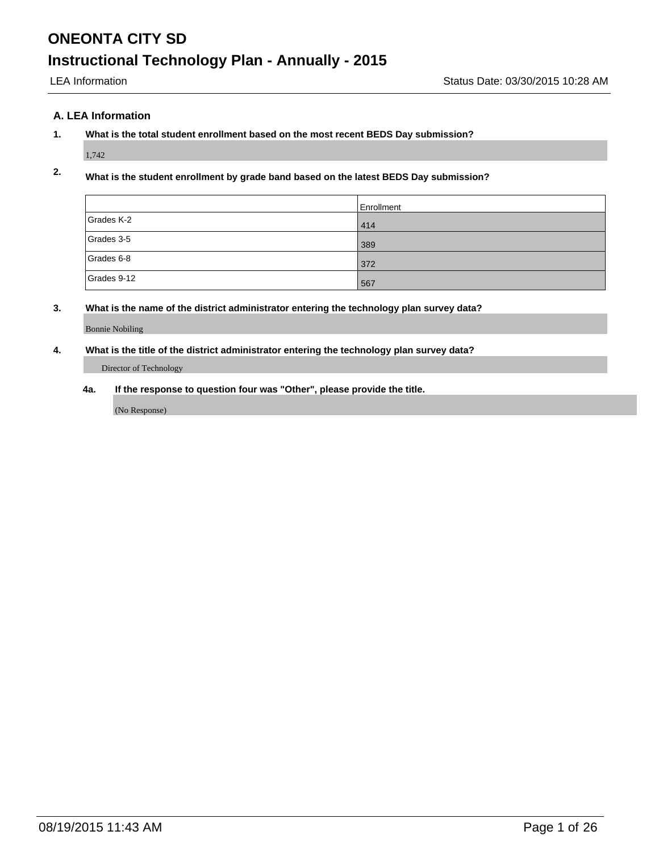#### **A. LEA Information**

#### **1. What is the total student enrollment based on the most recent BEDS Day submission?**

1,742

### **2. What is the student enrollment by grade band based on the latest BEDS Day submission?**

|             | Enrollment |
|-------------|------------|
| Grades K-2  | 414        |
| Grades 3-5  | 389        |
| Grades 6-8  | 372        |
| Grades 9-12 | 567        |

#### **3. What is the name of the district administrator entering the technology plan survey data?**

Bonnie Nobiling

#### **4. What is the title of the district administrator entering the technology plan survey data?**

Director of Technology

**4a. If the response to question four was "Other", please provide the title.**

(No Response)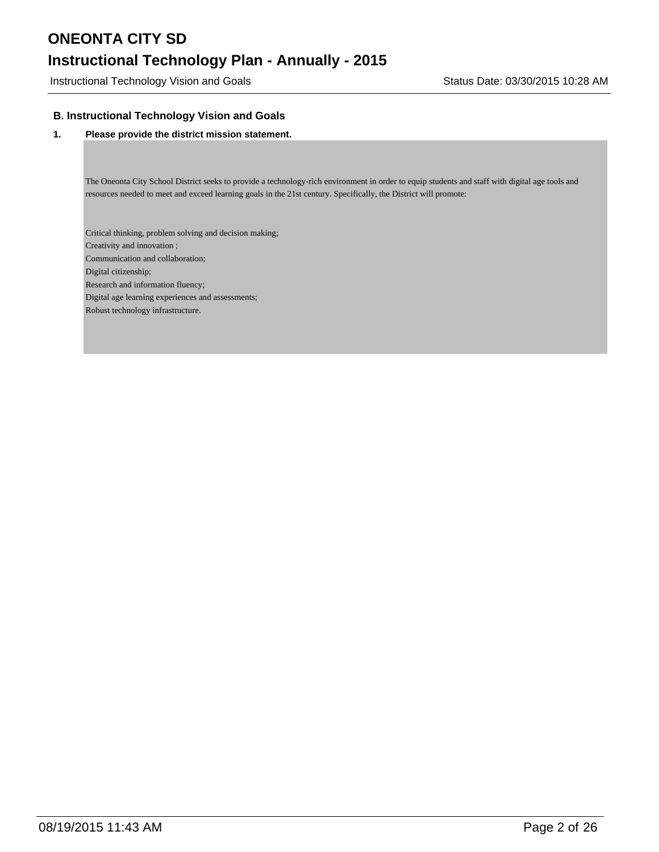### **Instructional Technology Plan - Annually - 2015**

Instructional Technology Vision and Goals **Status Date: 03/30/2015 10:28 AM** 

#### **B. Instructional Technology Vision and Goals**

#### **1. Please provide the district mission statement.**

The Oneonta City School District seeks to provide a technology-rich environment in order to equip students and staff with digital age tools and resources needed to meet and exceed learning goals in the 21st century. Specifically, the District will promote:

Critical thinking, problem solving and decision making; Creativity and innovation ; Communication and collaboration; Digital citizenship; Research and information fluency; Digital age learning experiences and assessments; Robust technology infrastructure.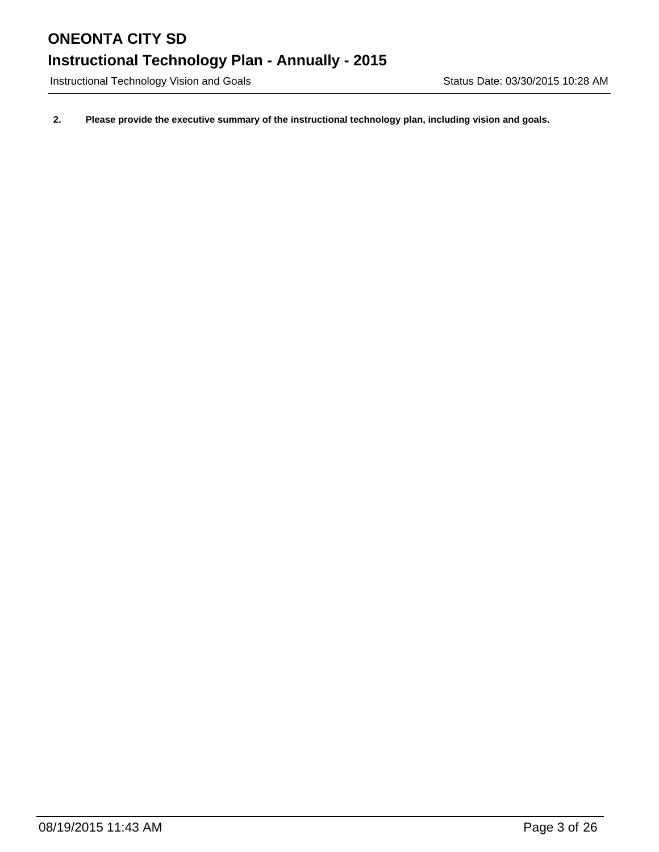Instructional Technology Vision and Goals **Status Date: 03/30/2015 10:28 AM** 

**2. Please provide the executive summary of the instructional technology plan, including vision and goals.**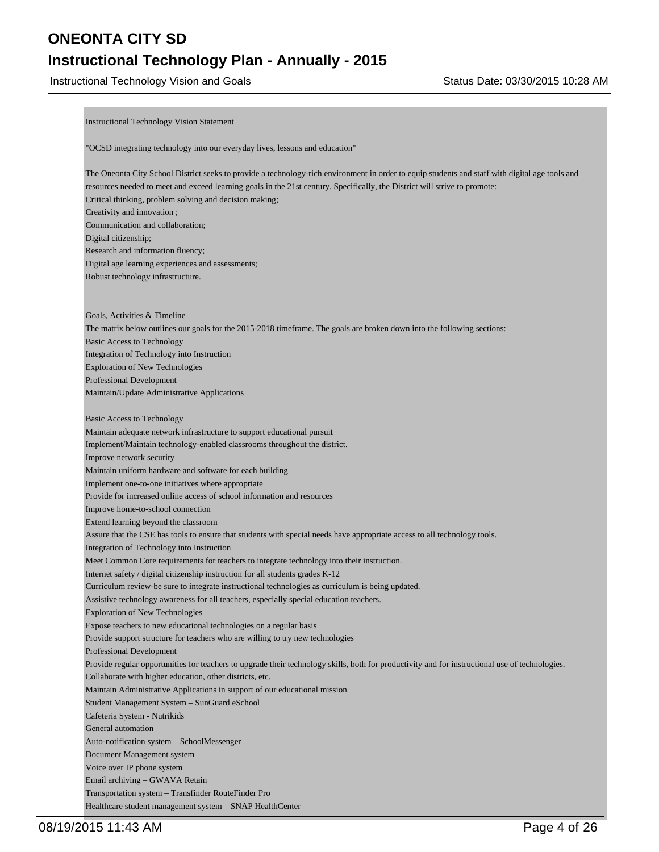### **Instructional Technology Plan - Annually - 2015**

Instructional Technology Vision and Goals **Status Date: 03/30/2015 10:28 AM** 

Instructional Technology Vision Statement "OCSD integrating technology into our everyday lives, lessons and education" The Oneonta City School District seeks to provide a technology-rich environment in order to equip students and staff with digital age tools and resources needed to meet and exceed learning goals in the 21st century. Specifically, the District will strive to promote: Critical thinking, problem solving and decision making; Creativity and innovation ; Communication and collaboration; Digital citizenship; Research and information fluency; Digital age learning experiences and assessments; Robust technology infrastructure. Goals, Activities & Timeline The matrix below outlines our goals for the 2015-2018 timeframe. The goals are broken down into the following sections: Basic Access to Technology Integration of Technology into Instruction Exploration of New Technologies Professional Development Maintain/Update Administrative Applications Basic Access to Technology Maintain adequate network infrastructure to support educational pursuit Implement/Maintain technology-enabled classrooms throughout the district. Improve network security Maintain uniform hardware and software for each building Implement one-to-one initiatives where appropriate Provide for increased online access of school information and resources Improve home-to-school connection Extend learning beyond the classroom Assure that the CSE has tools to ensure that students with special needs have appropriate access to all technology tools. Integration of Technology into Instruction Meet Common Core requirements for teachers to integrate technology into their instruction. Internet safety / digital citizenship instruction for all students grades K-12 Curriculum review-be sure to integrate instructional technologies as curriculum is being updated. Assistive technology awareness for all teachers, especially special education teachers. Exploration of New Technologies Expose teachers to new educational technologies on a regular basis Provide support structure for teachers who are willing to try new technologies Professional Development Provide regular opportunities for teachers to upgrade their technology skills, both for productivity and for instructional use of technologies. Collaborate with higher education, other districts, etc. Maintain Administrative Applications in support of our educational mission Student Management System – SunGuard eSchool Cafeteria System - Nutrikids General automation Auto-notification system – SchoolMessenger Document Management system Voice over IP phone system Email archiving – GWAVA Retain Transportation system – Transfinder RouteFinder Pro

Healthcare student management system – SNAP HealthCenter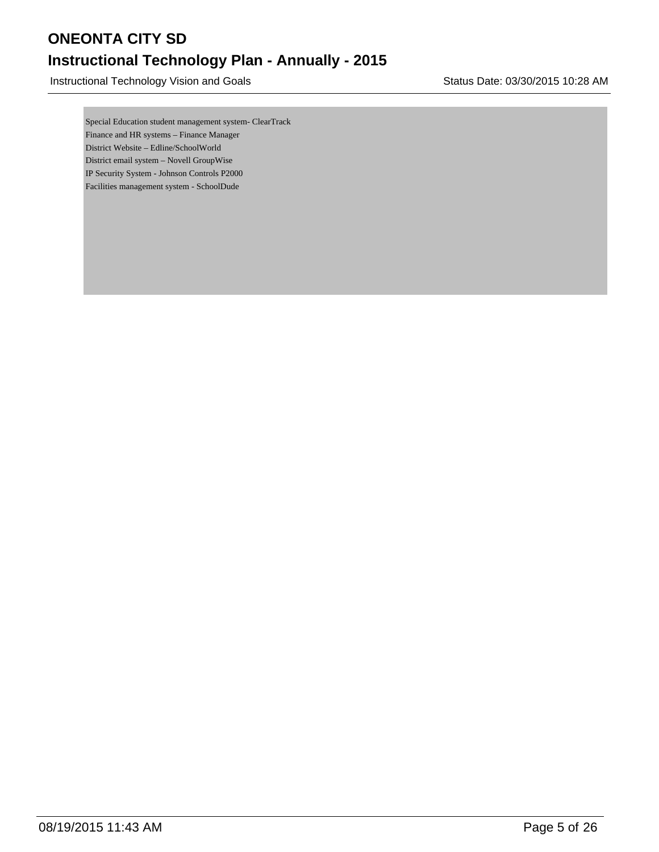Instructional Technology Vision and Goals **Status Date: 03/30/2015 10:28 AM** 

Special Education student management system- ClearTrack Finance and HR systems – Finance Manager District Website – Edline/SchoolWorld District email system – Novell GroupWise IP Security System - Johnson Controls P2000 Facilities management system - SchoolDude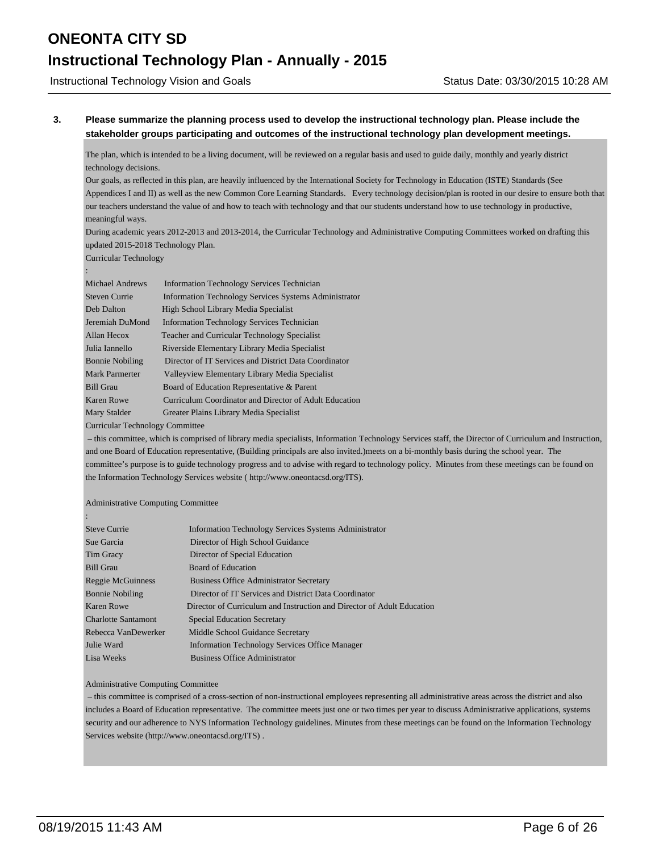Instructional Technology Vision and Goals **Status Date: 03/30/2015 10:28 AM** 

#### **3. Please summarize the planning process used to develop the instructional technology plan. Please include the stakeholder groups participating and outcomes of the instructional technology plan development meetings.**

The plan, which is intended to be a living document, will be reviewed on a regular basis and used to guide daily, monthly and yearly district technology decisions.

Our goals, as reflected in this plan, are heavily influenced by the International Society for Technology in Education (ISTE) Standards (See Appendices I and II) as well as the new Common Core Learning Standards. Every technology decision/plan is rooted in our desire to ensure both that our teachers understand the value of and how to teach with technology and that our students understand how to use technology in productive, meaningful ways.

During academic years 2012-2013 and 2013-2014, the Curricular Technology and Administrative Computing Committees worked on drafting this updated 2015-2018 Technology Plan.

Curricular Technology

| Michael Andrews        | <b>Information Technology Services Technician</b>            |  |
|------------------------|--------------------------------------------------------------|--|
| <b>Steven Currie</b>   | <b>Information Technology Services Systems Administrator</b> |  |
| Deb Dalton             | High School Library Media Specialist                         |  |
| Jeremiah DuMond        | <b>Information Technology Services Technician</b>            |  |
| Allan Hecox            | <b>Teacher and Curricular Technology Specialist</b>          |  |
| Julia Iannello         | Riverside Elementary Library Media Specialist                |  |
| <b>Bonnie Nobiling</b> | Director of IT Services and District Data Coordinator        |  |
| <b>Mark Parmerter</b>  | Valleyview Elementary Library Media Specialist               |  |
| <b>Bill Grau</b>       | Board of Education Representative & Parent                   |  |
| <b>Karen Rowe</b>      | Curriculum Coordinator and Director of Adult Education       |  |
| Mary Stalder           | Greater Plains Library Media Specialist                      |  |
|                        |                                                              |  |

Curricular Technology Committee

 – this committee, which is comprised of library media specialists, Information Technology Services staff, the Director of Curriculum and Instruction, and one Board of Education representative, (Building principals are also invited.)meets on a bi-monthly basis during the school year. The committee's purpose is to guide technology progress and to advise with regard to technology policy. Minutes from these meetings can be found on the Information Technology Services website ( http://www.oneontacsd.org/ITS).

#### Administrative Computing Committee

:

| <b>Steve Currie</b>        | <b>Information Technology Services Systems Administrator</b>           |
|----------------------------|------------------------------------------------------------------------|
| Sue Garcia                 | Director of High School Guidance                                       |
| Tim Gracy                  | Director of Special Education                                          |
| <b>Bill Grau</b>           | <b>Board of Education</b>                                              |
| Reggie McGuinness          | <b>Business Office Administrator Secretary</b>                         |
| <b>Bonnie Nobiling</b>     | Director of IT Services and District Data Coordinator                  |
| Karen Rowe                 | Director of Curriculum and Instruction and Director of Adult Education |
| <b>Charlotte Santamont</b> | <b>Special Education Secretary</b>                                     |
| Rebecca VanDewerker        | Middle School Guidance Secretary                                       |
| Julie Ward                 | <b>Information Technology Services Office Manager</b>                  |
| Lisa Weeks                 | <b>Business Office Administrator</b>                                   |

#### Administrative Computing Committee

 – this committee is comprised of a cross-section of non-instructional employees representing all administrative areas across the district and also includes a Board of Education representative. The committee meets just one or two times per year to discuss Administrative applications, systems security and our adherence to NYS Information Technology guidelines. Minutes from these meetings can be found on the Information Technology Services website (http://www.oneontacsd.org/ITS) .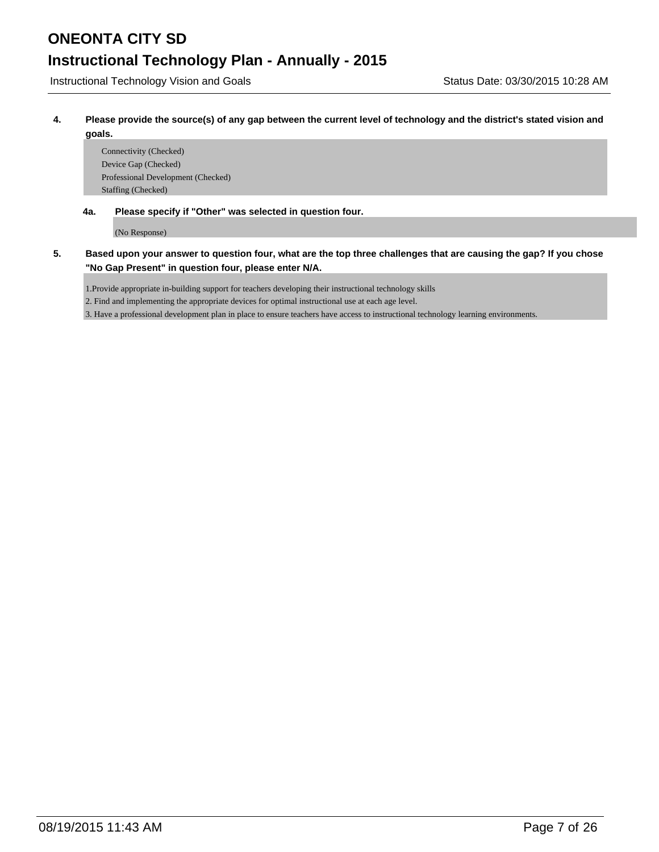Instructional Technology Vision and Goals **Status Date: 03/30/2015 10:28 AM** 

**4. Please provide the source(s) of any gap between the current level of technology and the district's stated vision and goals.**

Connectivity (Checked) Device Gap (Checked) Professional Development (Checked) Staffing (Checked)

**4a. Please specify if "Other" was selected in question four.**

(No Response)

**5. Based upon your answer to question four, what are the top three challenges that are causing the gap? If you chose "No Gap Present" in question four, please enter N/A.**

1.Provide appropriate in-building support for teachers developing their instructional technology skills

2. Find and implementing the appropriate devices for optimal instructional use at each age level.

3. Have a professional development plan in place to ensure teachers have access to instructional technology learning environments.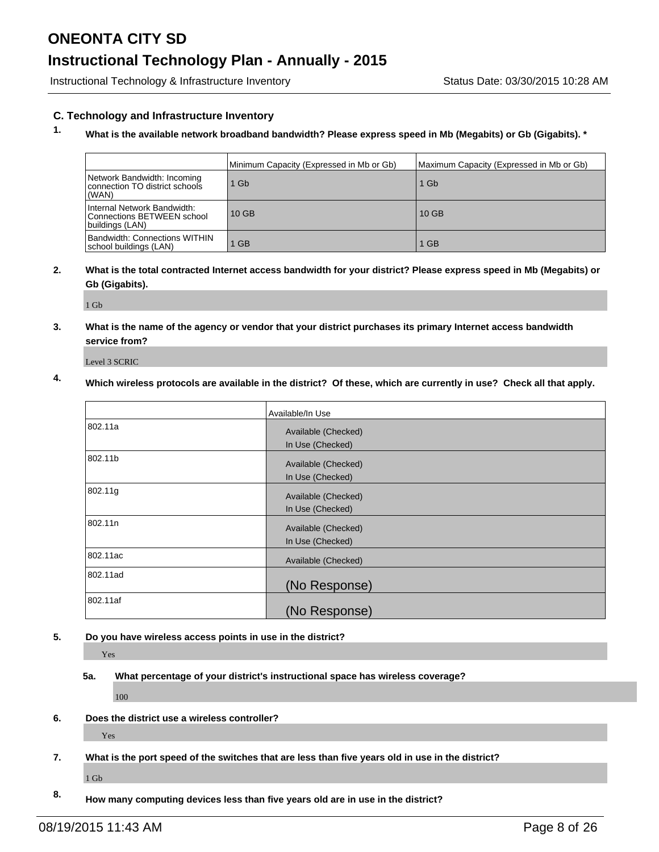### **Instructional Technology Plan - Annually - 2015**

Instructional Technology & Infrastructure Inventory **Status Date: 03/30/2015 10:28 AM** 

#### **C. Technology and Infrastructure Inventory**

### **1. What is the available network broadband bandwidth? Please express speed in Mb (Megabits) or Gb (Gigabits). \***

|                                                                              | Minimum Capacity (Expressed in Mb or Gb) | Maximum Capacity (Expressed in Mb or Gb) |
|------------------------------------------------------------------------------|------------------------------------------|------------------------------------------|
| Network Bandwidth: Incoming<br>connection TO district schools<br>(WAN)       | 1 Gb                                     | $1$ Gb                                   |
| Internal Network Bandwidth:<br>Connections BETWEEN school<br>buildings (LAN) | $10$ GB                                  | $10$ GB                                  |
| <b>Bandwidth: Connections WITHIN</b><br> school buildings (LAN)              | $1$ GB                                   | <b>GB</b>                                |

#### **2. What is the total contracted Internet access bandwidth for your district? Please express speed in Mb (Megabits) or Gb (Gigabits).**

1 Gb

**3. What is the name of the agency or vendor that your district purchases its primary Internet access bandwidth service from?**

Level 3 SCRIC

### **4. Which wireless protocols are available in the district? Of these, which are currently in use? Check all that apply.**

|          | Available/In Use                        |
|----------|-----------------------------------------|
| 802.11a  | Available (Checked)<br>In Use (Checked) |
| 802.11b  | Available (Checked)<br>In Use (Checked) |
| 802.11g  | Available (Checked)<br>In Use (Checked) |
| 802.11n  | Available (Checked)<br>In Use (Checked) |
| 802.11ac | Available (Checked)                     |
| 802.11ad | (No Response)                           |
| 802.11af | (No Response)                           |

#### **5. Do you have wireless access points in use in the district?**

Yes

**5a. What percentage of your district's instructional space has wireless coverage?**

100

**6. Does the district use a wireless controller?**

Yes

**7. What is the port speed of the switches that are less than five years old in use in the district?**

1 Gb

**8. How many computing devices less than five years old are in use in the district?**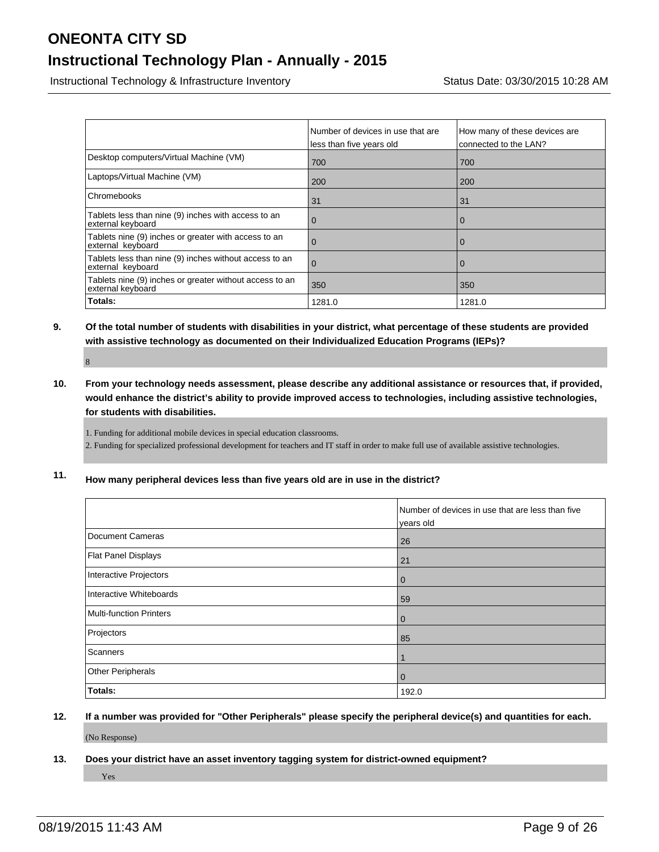### **Instructional Technology Plan - Annually - 2015**

Instructional Technology & Infrastructure Inventory **Status Date: 03/30/2015 10:28 AM** 

|                                                                              | Number of devices in use that are<br>less than five years old | How many of these devices are<br>connected to the LAN? |
|------------------------------------------------------------------------------|---------------------------------------------------------------|--------------------------------------------------------|
| Desktop computers/Virtual Machine (VM)                                       | 700                                                           | 700                                                    |
| Laptops/Virtual Machine (VM)                                                 | 200                                                           | 200                                                    |
| Chromebooks                                                                  | 31                                                            | 31                                                     |
| Tablets less than nine (9) inches with access to an<br>external keyboard     | 0                                                             | $\overline{0}$                                         |
| Tablets nine (9) inches or greater with access to an<br>external keyboard    | O                                                             | $\Omega$                                               |
| Tablets less than nine (9) inches without access to an<br>external keyboard  | $\Omega$                                                      | $\Omega$                                               |
| Tablets nine (9) inches or greater without access to an<br>external keyboard | 350                                                           | 350                                                    |
| Totals:                                                                      | 1281.0                                                        | 1281.0                                                 |

**9. Of the total number of students with disabilities in your district, what percentage of these students are provided with assistive technology as documented on their Individualized Education Programs (IEPs)?**

8

**10. From your technology needs assessment, please describe any additional assistance or resources that, if provided, would enhance the district's ability to provide improved access to technologies, including assistive technologies, for students with disabilities.**

1. Funding for additional mobile devices in special education classrooms.

2. Funding for specialized professional development for teachers and IT staff in order to make full use of available assistive technologies.

**11. How many peripheral devices less than five years old are in use in the district?**

|                         | Number of devices in use that are less than five<br>years old |
|-------------------------|---------------------------------------------------------------|
| Document Cameras        | 26                                                            |
| Flat Panel Displays     | 21                                                            |
| Interactive Projectors  | 0                                                             |
| Interactive Whiteboards | 59                                                            |
| Multi-function Printers | 0                                                             |
| Projectors              | 85                                                            |
| Scanners                |                                                               |
| Other Peripherals       | 0                                                             |
| Totals:                 | 192.0                                                         |

**12. If a number was provided for "Other Peripherals" please specify the peripheral device(s) and quantities for each.**

(No Response)

**13. Does your district have an asset inventory tagging system for district-owned equipment?**

Yes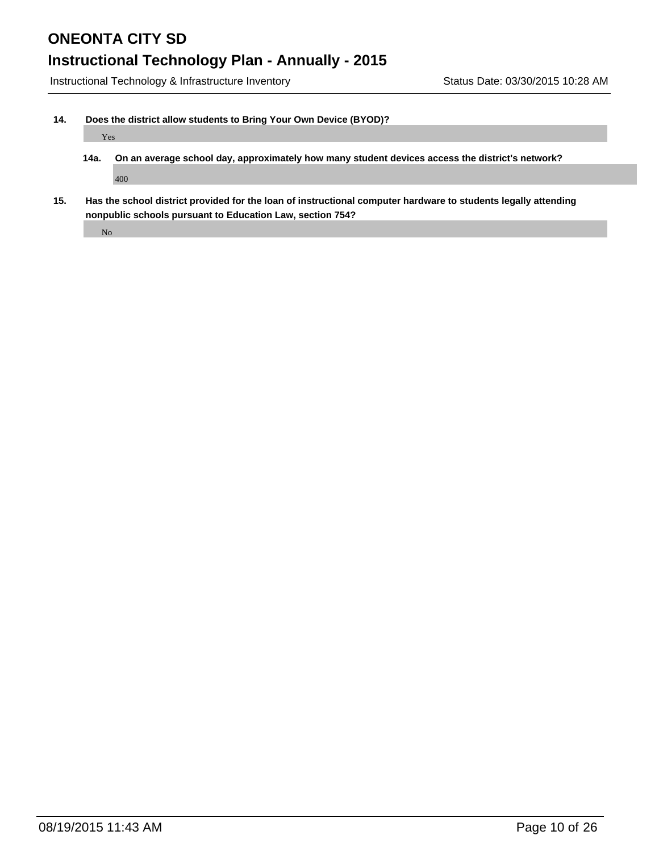### **Instructional Technology Plan - Annually - 2015**

Instructional Technology & Infrastructure Inventory Status Date: 03/30/2015 10:28 AM

#### **14. Does the district allow students to Bring Your Own Device (BYOD)?**

#### Yes

- **14a. On an average school day, approximately how many student devices access the district's network?** 400
- **15. Has the school district provided for the loan of instructional computer hardware to students legally attending nonpublic schools pursuant to Education Law, section 754?**

No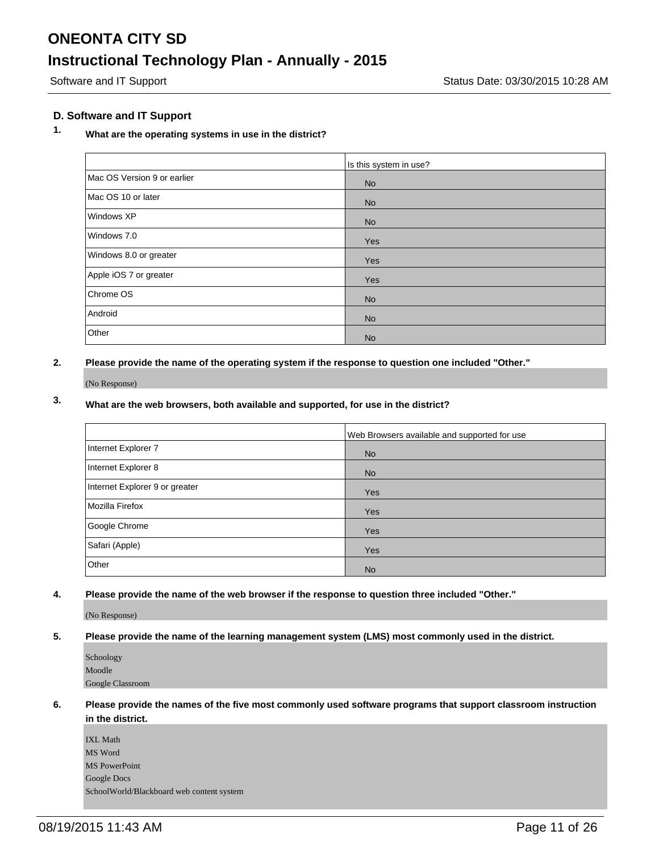#### **D. Software and IT Support**

### **1. What are the operating systems in use in the district?**

|                             | Is this system in use? |
|-----------------------------|------------------------|
| Mac OS Version 9 or earlier | <b>No</b>              |
| Mac OS 10 or later          | <b>No</b>              |
| Windows XP                  | <b>No</b>              |
| Windows 7.0                 | Yes                    |
| Windows 8.0 or greater      | Yes                    |
| Apple iOS 7 or greater      | Yes                    |
| Chrome OS                   | <b>No</b>              |
| Android                     | <b>No</b>              |
| Other                       | <b>No</b>              |

**2. Please provide the name of the operating system if the response to question one included "Other."**

(No Response)

### **3. What are the web browsers, both available and supported, for use in the district?**

|                                | Web Browsers available and supported for use |
|--------------------------------|----------------------------------------------|
| Internet Explorer 7            | <b>No</b>                                    |
| Internet Explorer 8            | <b>No</b>                                    |
| Internet Explorer 9 or greater | Yes                                          |
| Mozilla Firefox                | Yes                                          |
| Google Chrome                  | Yes                                          |
| Safari (Apple)                 | Yes                                          |
| Other                          | <b>No</b>                                    |

**4. Please provide the name of the web browser if the response to question three included "Other."**

(No Response)

#### **5. Please provide the name of the learning management system (LMS) most commonly used in the district.**

| Schoology        |
|------------------|
| Moodle           |
| Google Classroom |

#### **6. Please provide the names of the five most commonly used software programs that support classroom instruction in the district.**

IXL Math MS Word MS PowerPoint Google Docs SchoolWorld/Blackboard web content system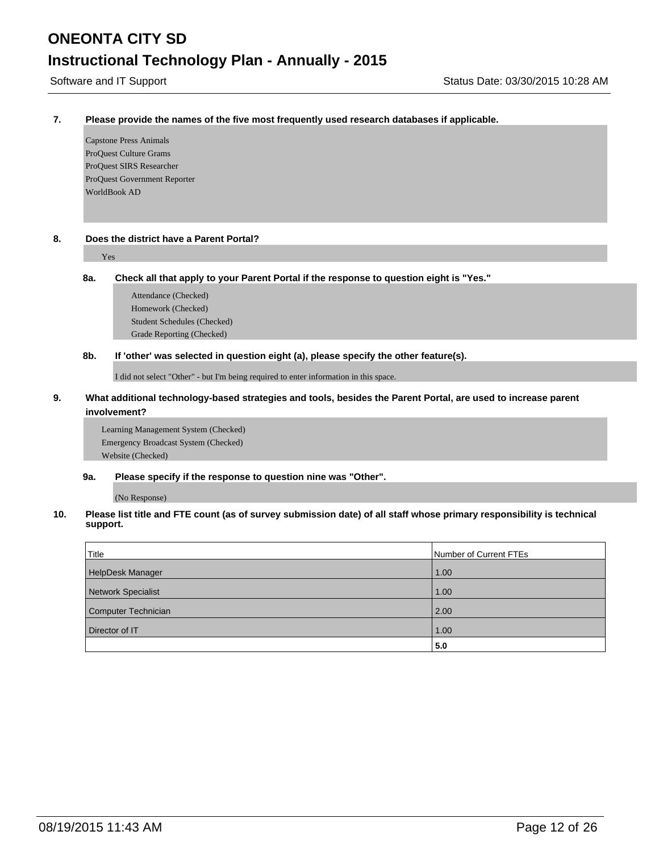#### **7. Please provide the names of the five most frequently used research databases if applicable.**

Capstone Press Animals ProQuest Culture Grams ProQuest SIRS Researcher ProQuest Government Reporter WorldBook AD

#### **8. Does the district have a Parent Portal?**

#### Yes

#### **8a. Check all that apply to your Parent Portal if the response to question eight is "Yes."**

Attendance (Checked) Homework (Checked) Student Schedules (Checked) Grade Reporting (Checked)

#### **8b. If 'other' was selected in question eight (a), please specify the other feature(s).**

I did not select "Other" - but I'm being required to enter information in this space.

#### **9. What additional technology-based strategies and tools, besides the Parent Portal, are used to increase parent involvement?**

Learning Management System (Checked) Emergency Broadcast System (Checked) Website (Checked)

#### **9a. Please specify if the response to question nine was "Other".**

(No Response)

#### **10. Please list title and FTE count (as of survey submission date) of all staff whose primary responsibility is technical support.**

| Title               | Number of Current FTEs |
|---------------------|------------------------|
| HelpDesk Manager    | 1.00                   |
| Network Specialist  | 1.00                   |
| Computer Technician | 2.00                   |
| Director of IT      | 1.00                   |
|                     | 5.0                    |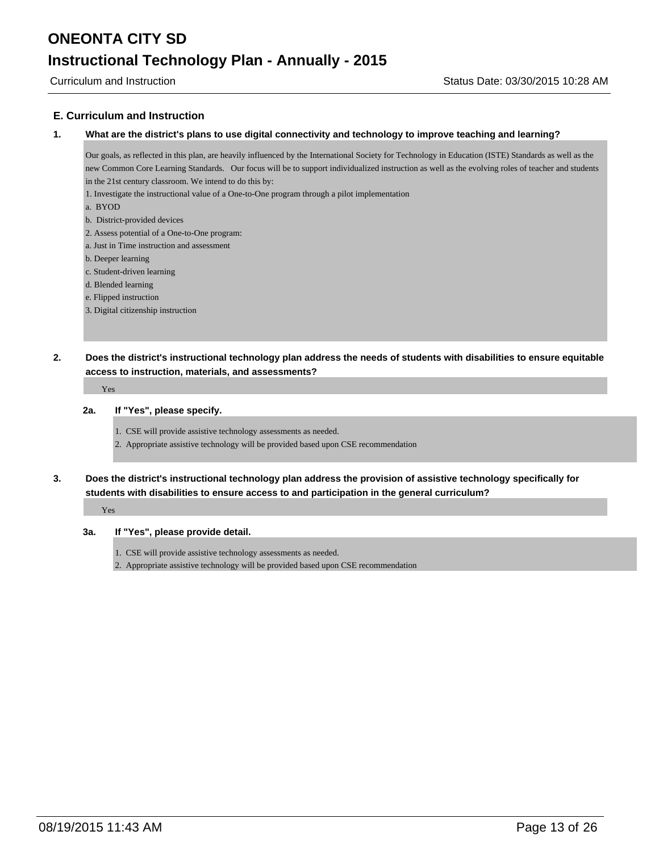#### **E. Curriculum and Instruction**

#### **1. What are the district's plans to use digital connectivity and technology to improve teaching and learning?**

Our goals, as reflected in this plan, are heavily influenced by the International Society for Technology in Education (ISTE) Standards as well as the new Common Core Learning Standards. Our focus will be to support individualized instruction as well as the evolving roles of teacher and students in the 21st century classroom. We intend to do this by:

- 1. Investigate the instructional value of a One-to-One program through a pilot implementation
- a. BYOD
- b. District-provided devices
- 2. Assess potential of a One-to-One program:
- a. Just in Time instruction and assessment
- b. Deeper learning
- c. Student-driven learning
- d. Blended learning
- e. Flipped instruction
- 3. Digital citizenship instruction
- **2. Does the district's instructional technology plan address the needs of students with disabilities to ensure equitable access to instruction, materials, and assessments?**

Yes

#### **2a. If "Yes", please specify.**

- 1. CSE will provide assistive technology assessments as needed.
- 2. Appropriate assistive technology will be provided based upon CSE recommendation
- **3. Does the district's instructional technology plan address the provision of assistive technology specifically for students with disabilities to ensure access to and participation in the general curriculum?**

Yes

#### **3a. If "Yes", please provide detail.**

- 1. CSE will provide assistive technology assessments as needed.
- 2. Appropriate assistive technology will be provided based upon CSE recommendation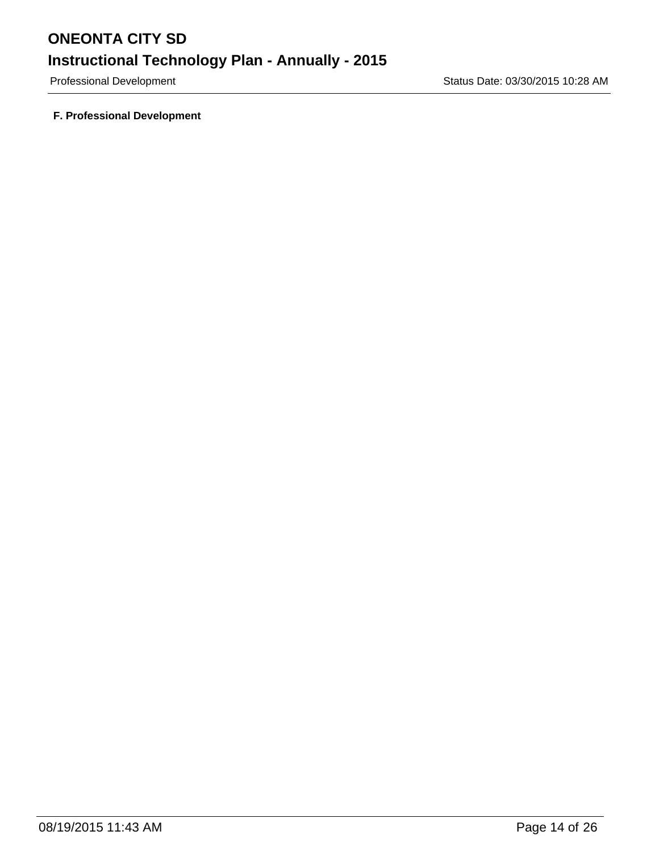Professional Development **Status Date: 03/30/2015 10:28 AM** 

**F. Professional Development**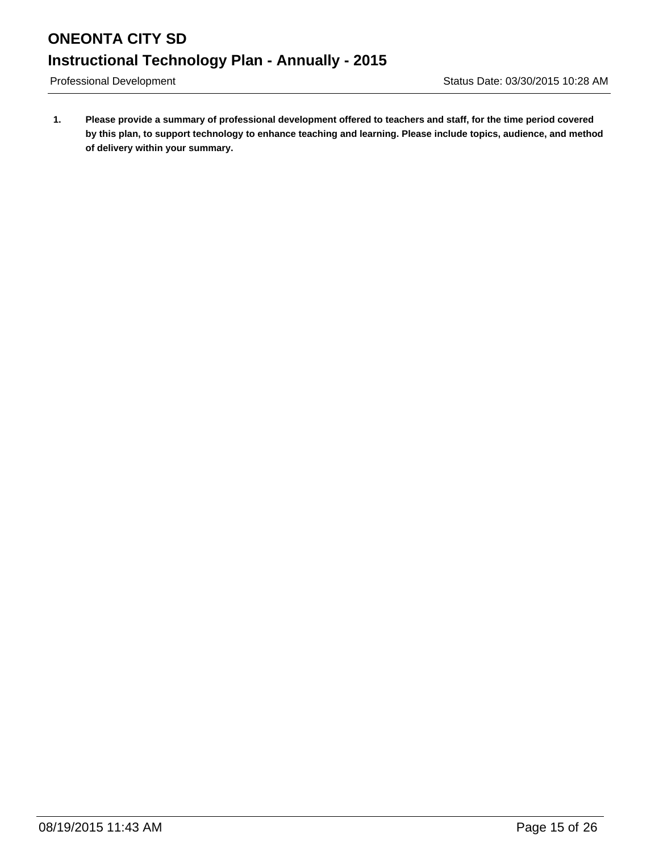**1. Please provide a summary of professional development offered to teachers and staff, for the time period covered by this plan, to support technology to enhance teaching and learning. Please include topics, audience, and method of delivery within your summary.**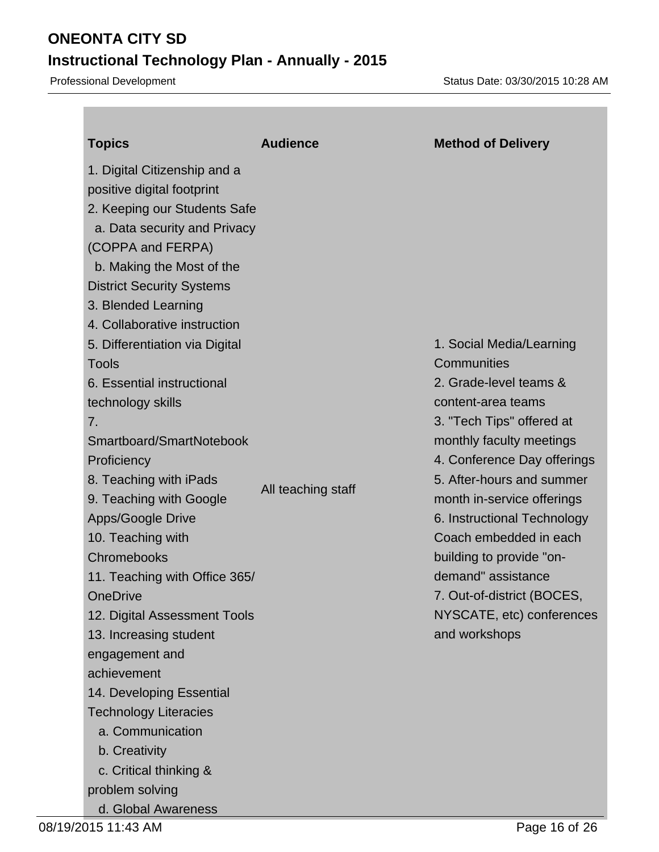Professional Development **Status Date: 03/30/2015 10:28 AM** 

| <b>Topics</b>                                                                                                                                                                                                                                                                                                                                                                                                                                                                                           | <b>Audience</b>    | <b>Method of Delivery</b>                                                                                                                                                                                                                                                 |
|---------------------------------------------------------------------------------------------------------------------------------------------------------------------------------------------------------------------------------------------------------------------------------------------------------------------------------------------------------------------------------------------------------------------------------------------------------------------------------------------------------|--------------------|---------------------------------------------------------------------------------------------------------------------------------------------------------------------------------------------------------------------------------------------------------------------------|
| 1. Digital Citizenship and a<br>positive digital footprint<br>2. Keeping our Students Safe<br>a. Data security and Privacy<br>(COPPA and FERPA)<br>b. Making the Most of the<br><b>District Security Systems</b><br>3. Blended Learning<br>4. Collaborative instruction<br>5. Differentiation via Digital<br><b>Tools</b><br>6. Essential instructional<br>technology skills<br>7.<br>Smartboard/SmartNotebook<br>Proficiency<br>8. Teaching with iPads<br>9. Teaching with Google<br>Apps/Google Drive | All teaching staff | 1. Social Media/Learning<br>Communities<br>2. Grade-level teams &<br>content-area teams<br>3. "Tech Tips" offered at<br>monthly faculty meetings<br>4. Conference Day offerings<br>5. After-hours and summer<br>month in-service offerings<br>6. Instructional Technology |
| 10. Teaching with<br>Chromebooks                                                                                                                                                                                                                                                                                                                                                                                                                                                                        |                    | Coach embedded in each<br>building to provide "on-                                                                                                                                                                                                                        |
| 11. Teaching with Office 365/                                                                                                                                                                                                                                                                                                                                                                                                                                                                           |                    | demand" assistance                                                                                                                                                                                                                                                        |
| <b>OneDrive</b>                                                                                                                                                                                                                                                                                                                                                                                                                                                                                         |                    | 7. Out-of-district (BOCES,                                                                                                                                                                                                                                                |
| 12. Digital Assessment Tools                                                                                                                                                                                                                                                                                                                                                                                                                                                                            |                    | NYSCATE, etc) conferences                                                                                                                                                                                                                                                 |
| 13. Increasing student                                                                                                                                                                                                                                                                                                                                                                                                                                                                                  |                    | and workshops                                                                                                                                                                                                                                                             |
| engagement and<br>achievement                                                                                                                                                                                                                                                                                                                                                                                                                                                                           |                    |                                                                                                                                                                                                                                                                           |
| 14. Developing Essential                                                                                                                                                                                                                                                                                                                                                                                                                                                                                |                    |                                                                                                                                                                                                                                                                           |
| <b>Technology Literacies</b>                                                                                                                                                                                                                                                                                                                                                                                                                                                                            |                    |                                                                                                                                                                                                                                                                           |
| a. Communication                                                                                                                                                                                                                                                                                                                                                                                                                                                                                        |                    |                                                                                                                                                                                                                                                                           |
| b. Creativity                                                                                                                                                                                                                                                                                                                                                                                                                                                                                           |                    |                                                                                                                                                                                                                                                                           |
| c. Critical thinking &                                                                                                                                                                                                                                                                                                                                                                                                                                                                                  |                    |                                                                                                                                                                                                                                                                           |
| problem solving                                                                                                                                                                                                                                                                                                                                                                                                                                                                                         |                    |                                                                                                                                                                                                                                                                           |
| d. Global Awareness                                                                                                                                                                                                                                                                                                                                                                                                                                                                                     |                    |                                                                                                                                                                                                                                                                           |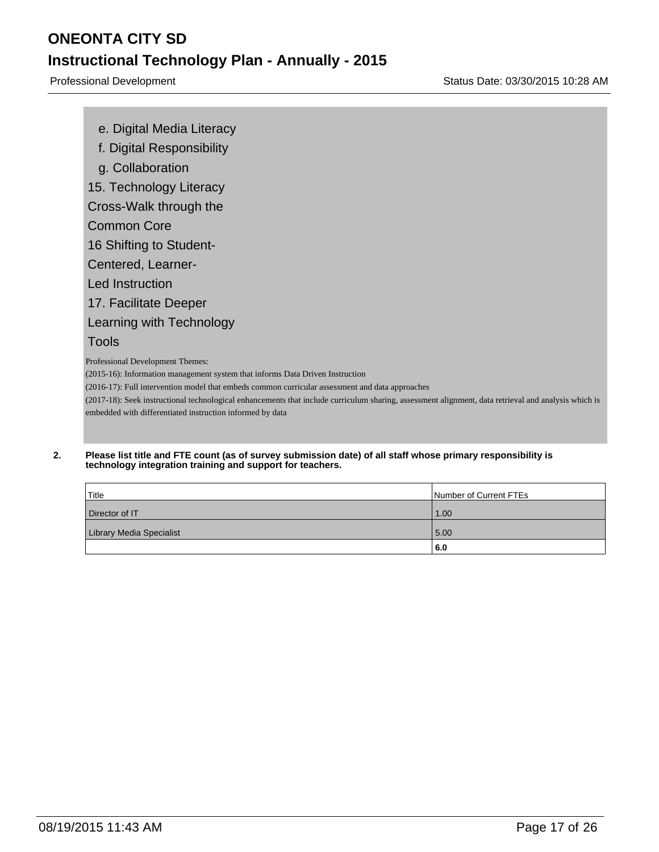e. Digital Media Literacy

f. Digital Responsibility

g. Collaboration

15. Technology Literacy

Cross-Walk through the

Common Core

16 Shifting to Student-

Centered, Learner-

Led Instruction

17. Facilitate Deeper

Learning with Technology

### Tools

Professional Development Themes:

(2015-16): Information management system that informs Data Driven Instruction

(2016-17): Full intervention model that embeds common curricular assessment and data approaches

(2017-18): Seek instructional technological enhancements that include curriculum sharing, assessment alignment, data retrieval and analysis which is embedded with differentiated instruction informed by data

#### **2. Please list title and FTE count (as of survey submission date) of all staff whose primary responsibility is technology integration training and support for teachers.**

| Title                           | Number of Current FTEs |
|---------------------------------|------------------------|
| Director of IT                  | 1.00                   |
| <b>Library Media Specialist</b> | 5.00                   |
|                                 | 6.0                    |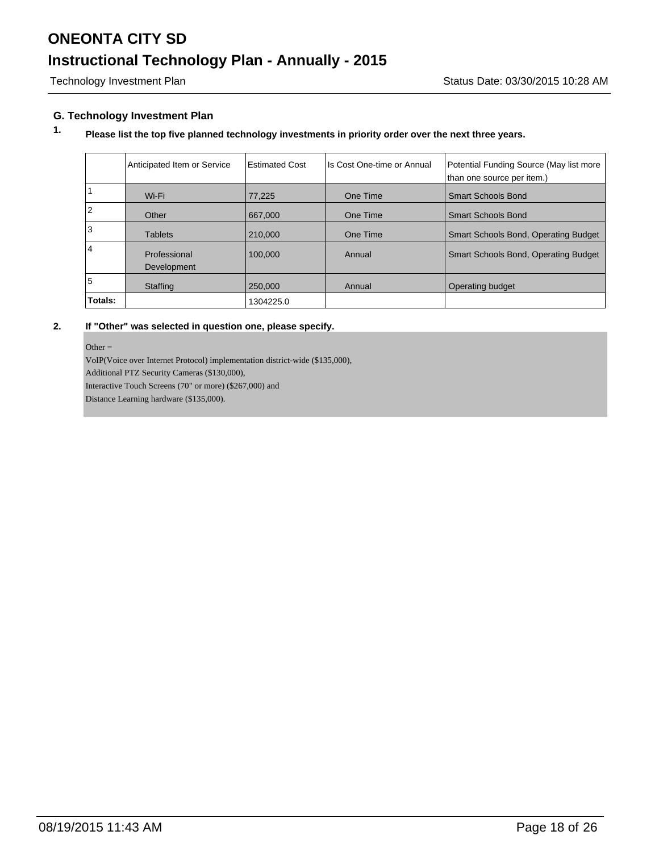#### **G. Technology Investment Plan**

### **1. Please list the top five planned technology investments in priority order over the next three years.**

|                | Anticipated Item or Service | <b>Estimated Cost</b> | Ils Cost One-time or Annual | Potential Funding Source (May list more<br>than one source per item.) |
|----------------|-----------------------------|-----------------------|-----------------------------|-----------------------------------------------------------------------|
|                | Wi-Fi                       | 77,225                | One Time                    | <b>Smart Schools Bond</b>                                             |
| $\overline{2}$ | Other                       | 667,000               | One Time                    | <b>Smart Schools Bond</b>                                             |
| 3              | <b>Tablets</b>              | 210,000               | One Time                    | Smart Schools Bond, Operating Budget                                  |
| $\overline{4}$ | Professional<br>Development | 100.000               | Annual                      | Smart Schools Bond, Operating Budget                                  |
| 5              | Staffing                    | 250,000               | Annual                      | Operating budget                                                      |
| Totals:        |                             | 1304225.0             |                             |                                                                       |

#### **2. If "Other" was selected in question one, please specify.**

Other  $=$ 

VoIP(Voice over Internet Protocol) implementation district-wide (\$135,000),

Additional PTZ Security Cameras (\$130,000),

Interactive Touch Screens (70" or more) (\$267,000) and

Distance Learning hardware (\$135,000).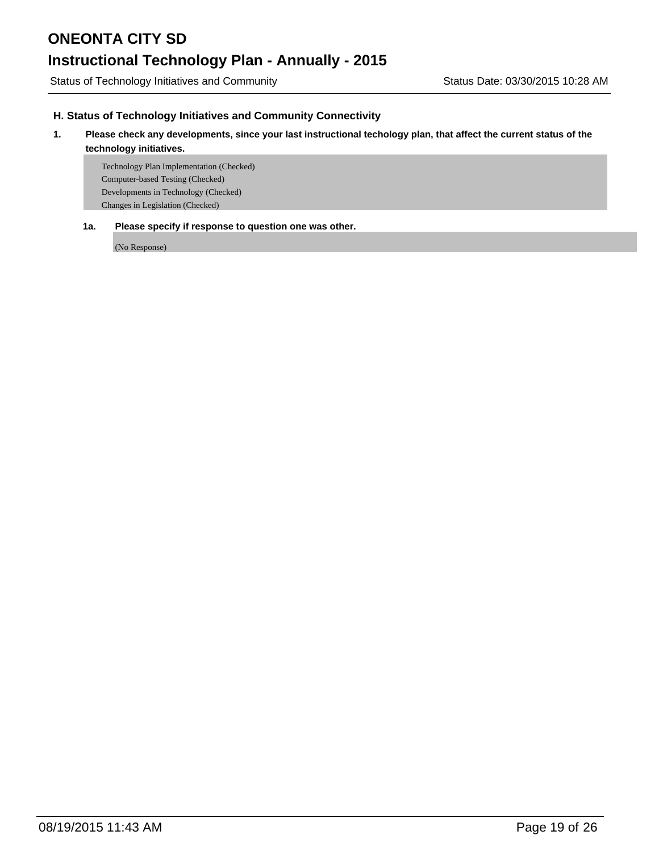Status of Technology Initiatives and Community Status Date: 03/30/2015 10:28 AM

#### **H. Status of Technology Initiatives and Community Connectivity**

#### **1. Please check any developments, since your last instructional techology plan, that affect the current status of the technology initiatives.**

Technology Plan Implementation (Checked) Computer-based Testing (Checked) Developments in Technology (Checked) Changes in Legislation (Checked)

#### **1a. Please specify if response to question one was other.**

(No Response)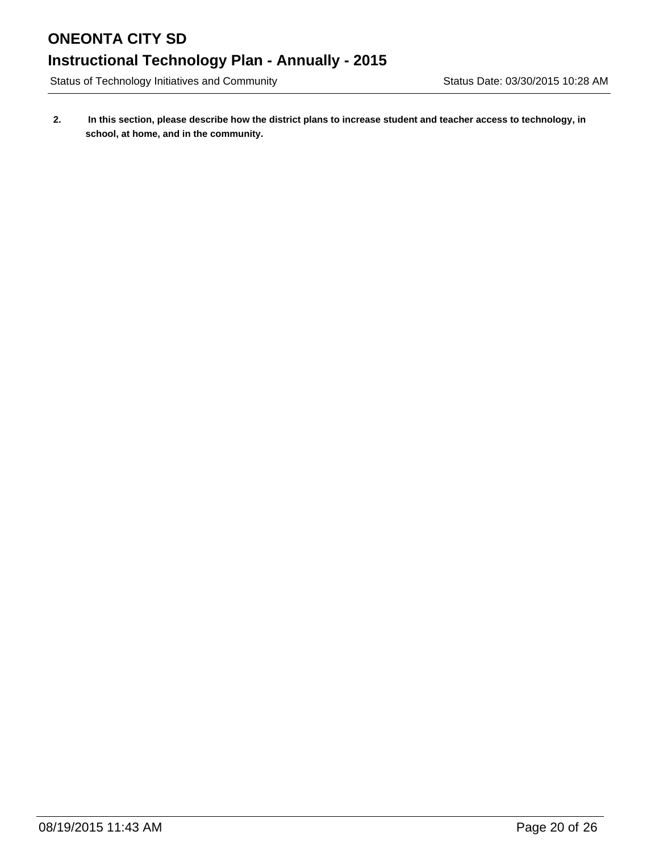Status of Technology Initiatives and Community Status Date: 03/30/2015 10:28 AM

**2. In this section, please describe how the district plans to increase student and teacher access to technology, in school, at home, and in the community.**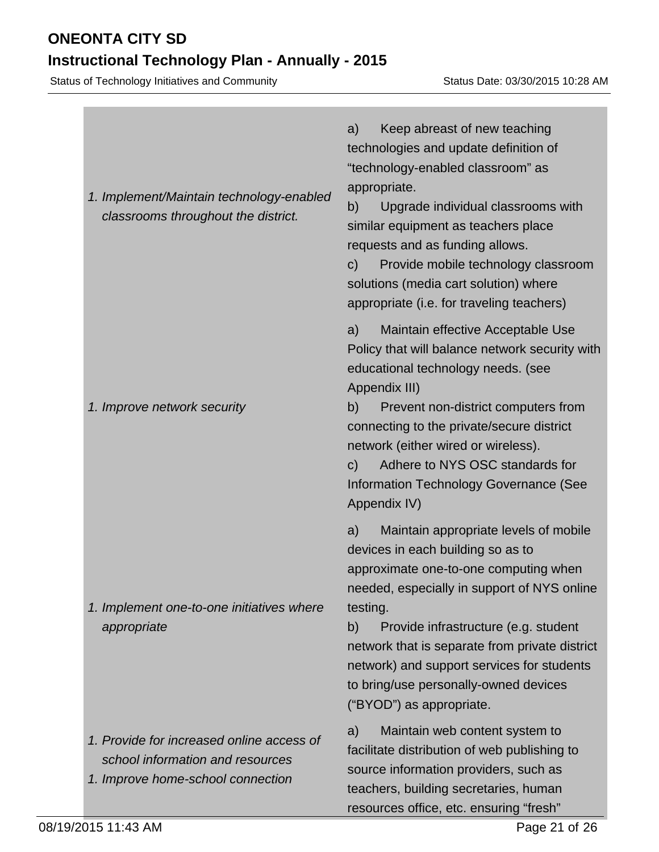# **Instructional Technology Plan - Annually - 2015**

Status of Technology Initiatives and Community Status Date: 03/30/2015 10:28 AM

| 1. Implement/Maintain technology-enabled<br>classrooms throughout the district.                                    | Keep abreast of new teaching<br>a)<br>technologies and update definition of<br>"technology-enabled classroom" as<br>appropriate.<br>b)<br>Upgrade individual classrooms with<br>similar equipment as teachers place<br>requests and as funding allows.<br>Provide mobile technology classroom<br>C)<br>solutions (media cart solution) where<br>appropriate (i.e. for traveling teachers)               |
|--------------------------------------------------------------------------------------------------------------------|---------------------------------------------------------------------------------------------------------------------------------------------------------------------------------------------------------------------------------------------------------------------------------------------------------------------------------------------------------------------------------------------------------|
| 1. Improve network security                                                                                        | Maintain effective Acceptable Use<br>a)<br>Policy that will balance network security with<br>educational technology needs. (see<br>Appendix III)<br>Prevent non-district computers from<br>b)<br>connecting to the private/secure district<br>network (either wired or wireless).<br>Adhere to NYS OSC standards for<br>$\mathsf{C}$<br>Information Technology Governance (See<br>Appendix IV)          |
| 1. Implement one-to-one initiatives where<br>appropriate                                                           | Maintain appropriate levels of mobile<br>a)<br>devices in each building so as to<br>approximate one-to-one computing when<br>needed, especially in support of NYS online<br>testing.<br>Provide infrastructure (e.g. student<br>b)<br>network that is separate from private district<br>network) and support services for students<br>to bring/use personally-owned devices<br>("BYOD") as appropriate. |
| 1. Provide for increased online access of<br>school information and resources<br>1. Improve home-school connection | Maintain web content system to<br>a)<br>facilitate distribution of web publishing to<br>source information providers, such as<br>teachers, building secretaries, human<br>resources office, etc. ensuring "fresh"                                                                                                                                                                                       |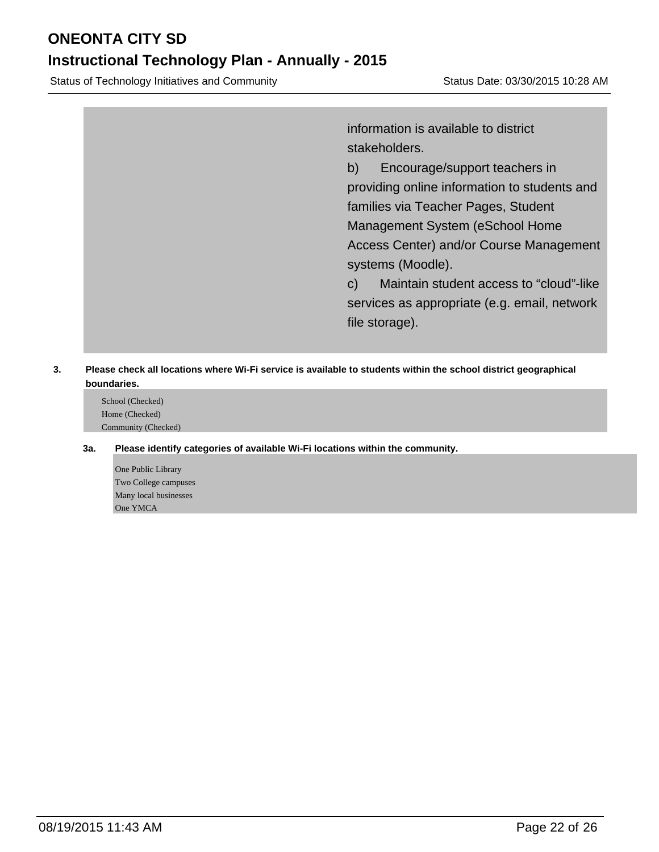### **Instructional Technology Plan - Annually - 2015**

Status of Technology Initiatives and Community Status Date: 03/30/2015 10:28 AM

information is available to district stakeholders.

b) Encourage/support teachers in providing online information to students and families via Teacher Pages, Student Management System (eSchool Home Access Center) and/or Course Management systems (Moodle).

c) Maintain student access to "cloud"-like services as appropriate (e.g. email, network file storage).

#### **3. Please check all locations where Wi-Fi service is available to students within the school district geographical boundaries.**

School (Checked) Home (Checked) Community (Checked)

#### **3a. Please identify categories of available Wi-Fi locations within the community.**

One Public Library Two College campuses Many local businesses One YMCA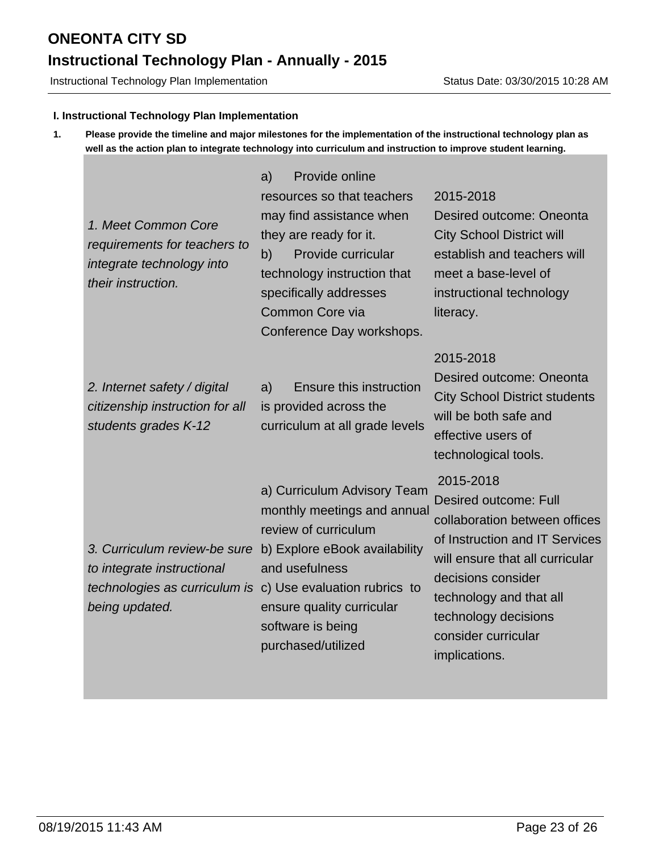Instructional Technology Plan Implementation Status Date: 03/30/2015 10:28 AM

#### **I. Instructional Technology Plan Implementation**

**1. Please provide the timeline and major milestones for the implementation of the instructional technology plan as well as the action plan to integrate technology into curriculum and instruction to improve student learning.**

| 1. Meet Common Core<br>requirements for teachers to<br>integrate technology into<br>their instruction.        | Provide online<br>a)<br>resources so that teachers<br>may find assistance when<br>they are ready for it.<br>b)<br>Provide curricular<br>technology instruction that<br>specifically addresses<br>Common Core via<br>Conference Day workshops. | 2015-2018<br>Desired outcome: Oneonta<br><b>City School District will</b><br>establish and teachers will<br>meet a base-level of<br>instructional technology<br>literacy.                                                                                        |
|---------------------------------------------------------------------------------------------------------------|-----------------------------------------------------------------------------------------------------------------------------------------------------------------------------------------------------------------------------------------------|------------------------------------------------------------------------------------------------------------------------------------------------------------------------------------------------------------------------------------------------------------------|
| 2. Internet safety / digital<br>citizenship instruction for all<br>students grades K-12                       | <b>Ensure this instruction</b><br>a)<br>is provided across the<br>curriculum at all grade levels                                                                                                                                              | 2015-2018<br>Desired outcome: Oneonta<br><b>City School District students</b><br>will be both safe and<br>effective users of<br>technological tools.                                                                                                             |
| 3. Curriculum review-be sure<br>to integrate instructional<br>technologies as curriculum is<br>being updated. | a) Curriculum Advisory Team<br>monthly meetings and annual<br>review of curriculum<br>b) Explore eBook availability<br>and usefulness<br>c) Use evaluation rubrics to<br>ensure quality curricular<br>software is being<br>purchased/utilized | 2015-2018<br><b>Desired outcome: Full</b><br>collaboration between offices<br>of Instruction and IT Services<br>will ensure that all curricular<br>decisions consider<br>technology and that all<br>technology decisions<br>consider curricular<br>implications. |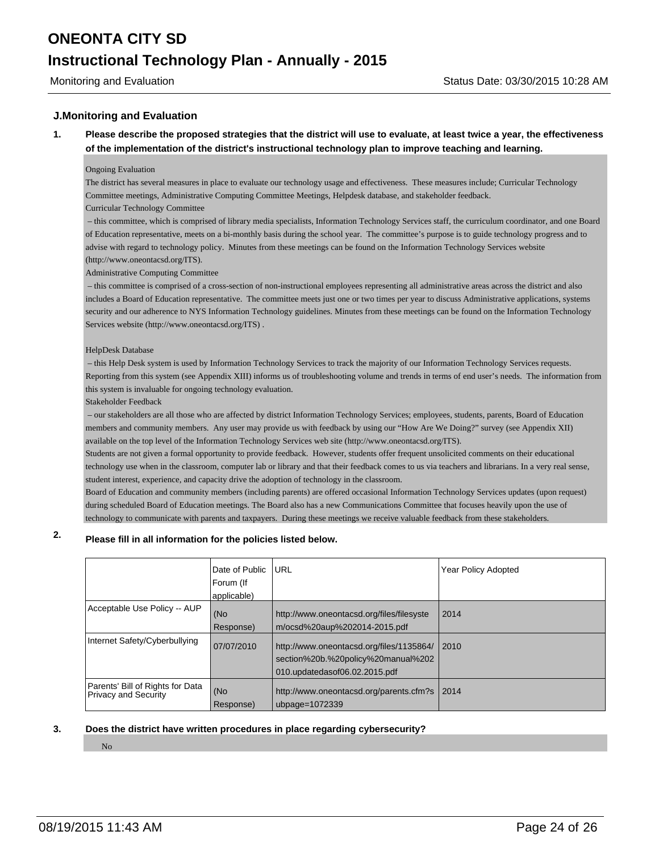#### **J.Monitoring and Evaluation**

**1. Please describe the proposed strategies that the district will use to evaluate, at least twice a year, the effectiveness of the implementation of the district's instructional technology plan to improve teaching and learning.**

#### Ongoing Evaluation

The district has several measures in place to evaluate our technology usage and effectiveness. These measures include; Curricular Technology Committee meetings, Administrative Computing Committee Meetings, Helpdesk database, and stakeholder feedback.

#### Curricular Technology Committee

 – this committee, which is comprised of library media specialists, Information Technology Services staff, the curriculum coordinator, and one Board of Education representative, meets on a bi-monthly basis during the school year. The committee's purpose is to guide technology progress and to advise with regard to technology policy. Minutes from these meetings can be found on the Information Technology Services website (http://www.oneontacsd.org/ITS).

#### Administrative Computing Committee

 – this committee is comprised of a cross-section of non-instructional employees representing all administrative areas across the district and also includes a Board of Education representative. The committee meets just one or two times per year to discuss Administrative applications, systems security and our adherence to NYS Information Technology guidelines. Minutes from these meetings can be found on the Information Technology Services website (http://www.oneontacsd.org/ITS) .

#### HelpDesk Database

 – this Help Desk system is used by Information Technology Services to track the majority of our Information Technology Services requests. Reporting from this system (see Appendix XIII) informs us of troubleshooting volume and trends in terms of end user's needs. The information from this system is invaluable for ongoing technology evaluation.

Stakeholder Feedback

 – our stakeholders are all those who are affected by district Information Technology Services; employees, students, parents, Board of Education members and community members. Any user may provide us with feedback by using our "How Are We Doing?" survey (see Appendix XII) available on the top level of the Information Technology Services web site (http://www.oneontacsd.org/ITS).

Students are not given a formal opportunity to provide feedback. However, students offer frequent unsolicited comments on their educational technology use when in the classroom, computer lab or library and that their feedback comes to us via teachers and librarians. In a very real sense, student interest, experience, and capacity drive the adoption of technology in the classroom.

Board of Education and community members (including parents) are offered occasional Information Technology Services updates (upon request) during scheduled Board of Education meetings. The Board also has a new Communications Committee that focuses heavily upon the use of technology to communicate with parents and taxpayers. During these meetings we receive valuable feedback from these stakeholders.

### **2. Please fill in all information for the policies listed below.**

|                                                                 | Date of Public<br>Forum (If<br>applicable) | URL                                                                                                             | Year Policy Adopted |
|-----------------------------------------------------------------|--------------------------------------------|-----------------------------------------------------------------------------------------------------------------|---------------------|
| Acceptable Use Policy -- AUP                                    | (No<br>Response)                           | http://www.oneontacsd.org/files/filesyste<br>m/ocsd%20aup%202014-2015.pdf                                       | 2014                |
| Internet Safety/Cyberbullying                                   | 07/07/2010                                 | http://www.oneontacsd.org/files/1135864/<br>section%20b.%20policy%20manual%202<br>010.updatedasof06.02.2015.pdf | 12010               |
| Parents' Bill of Rights for Data<br><b>Privacy and Security</b> | (No<br>Response)                           | http://www.oneontacsd.org/parents.cfm?s   2014<br>ubpage= $1072339$                                             |                     |

#### **3. Does the district have written procedures in place regarding cybersecurity?**

No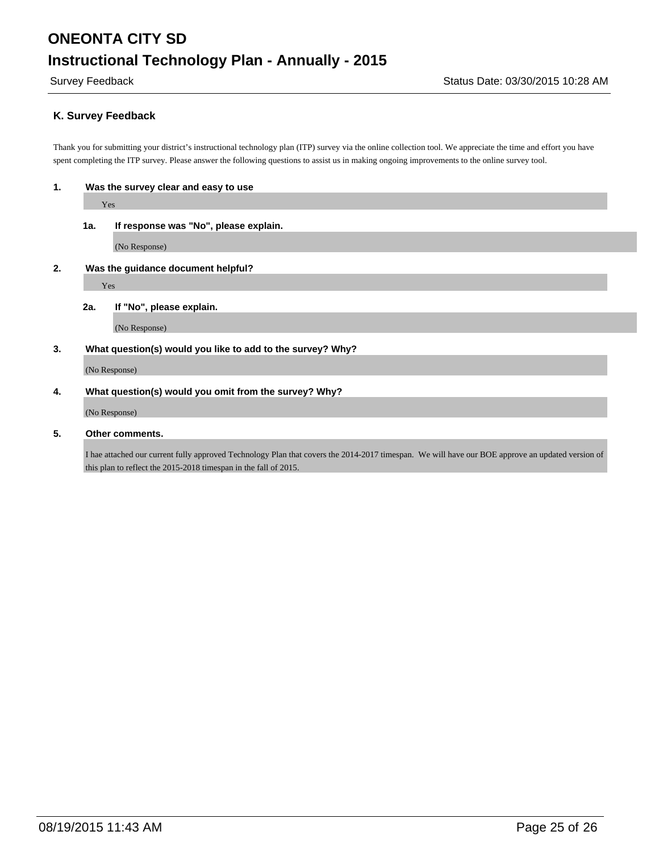#### **K. Survey Feedback**

Thank you for submitting your district's instructional technology plan (ITP) survey via the online collection tool. We appreciate the time and effort you have spent completing the ITP survey. Please answer the following questions to assist us in making ongoing improvements to the online survey tool.

| п. | Was the survey clear and easy to use |  |
|----|--------------------------------------|--|
|    |                                      |  |

Yes

**1a. If response was "No", please explain.**

(No Response)

**2. Was the guidance document helpful?**

Yes

**2a. If "No", please explain.**

(No Response)

#### **3. What question(s) would you like to add to the survey? Why?**

(No Response)

#### **4. What question(s) would you omit from the survey? Why?**

(No Response)

**5. Other comments.**

I hae attached our current fully approved Technology Plan that covers the 2014-2017 timespan. We will have our BOE approve an updated version of this plan to reflect the 2015-2018 timespan in the fall of 2015.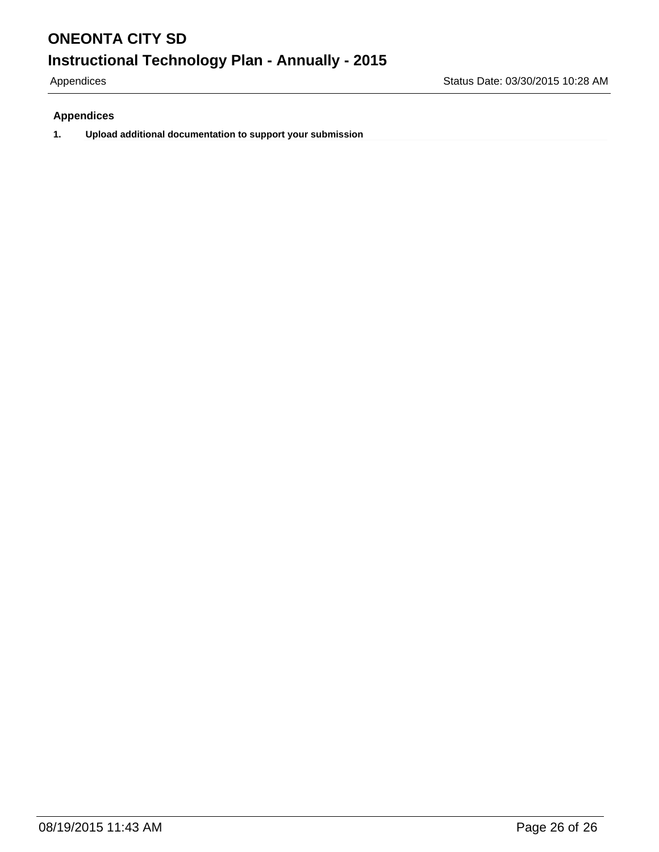#### **Appendices**

**1. Upload additional documentation to support your submission**